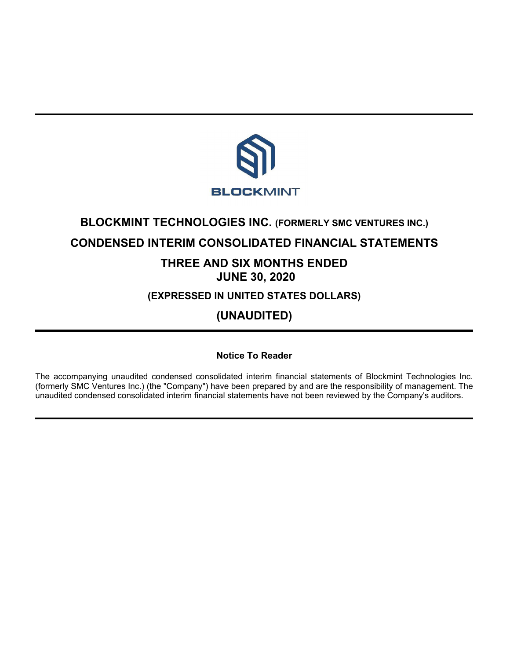

# **BLOCKMINT TECHNOLOGIES INC. (FORMERLY SMC VENTURES INC.)**

## **CONDENSED INTERIM CONSOLIDATED FINANCIAL STATEMENTS**

## **THREE AND SIX MONTHS ENDED JUNE 30, 2020**

## **(EXPRESSED IN UNITED STATES DOLLARS)**

## **(UNAUDITED)**

### **Notice To Reader**

The accompanying unaudited condensed consolidated interim financial statements of Blockmint Technologies Inc. (formerly SMC Ventures Inc.) (the "Company") have been prepared by and are the responsibility of management. The unaudited condensed consolidated interim financial statements have not been reviewed by the Company's auditors.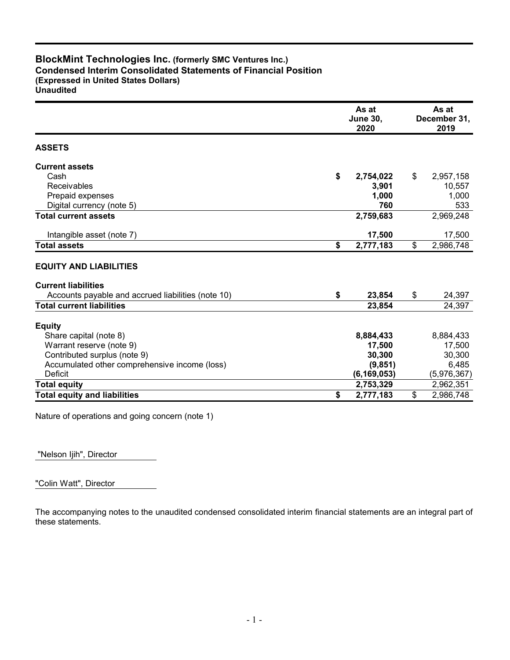#### **BlockMint Technologies Inc. (formerly SMC Ventures Inc.) Condensed Interim Consolidated Statements of Financial Position (Expressed in United States Dollars) Unaudited**

|                                                    | As at<br><b>June 30,</b><br>2020 | As at<br>December 31,<br>2019 |
|----------------------------------------------------|----------------------------------|-------------------------------|
| <b>ASSETS</b>                                      |                                  |                               |
| <b>Current assets</b>                              |                                  |                               |
| Cash                                               | \$<br>2,754,022                  | \$<br>2,957,158               |
| Receivables                                        | 3,901                            | 10,557                        |
| Prepaid expenses                                   | 1,000                            | 1,000                         |
| Digital currency (note 5)                          | 760                              | 533                           |
| <b>Total current assets</b>                        | 2,759,683                        | 2,969,248                     |
| Intangible asset (note 7)                          | 17,500                           | 17,500                        |
| <b>Total assets</b>                                | \$<br>2,777,183                  | \$<br>2,986,748               |
| <b>EQUITY AND LIABILITIES</b>                      |                                  |                               |
| <b>Current liabilities</b>                         |                                  |                               |
| Accounts payable and accrued liabilities (note 10) | \$<br>23,854                     | \$<br>24,397                  |
| <b>Total current liabilities</b>                   | 23,854                           | 24,397                        |
| <b>Equity</b>                                      |                                  |                               |
| Share capital (note 8)                             | 8,884,433                        | 8,884,433                     |
| Warrant reserve (note 9)                           | 17,500                           | 17,500                        |
| Contributed surplus (note 9)                       | 30,300                           | 30,300                        |
| Accumulated other comprehensive income (loss)      | (9, 851)                         | 6,485                         |
| <b>Deficit</b>                                     | (6, 169, 053)                    | (5,976,367)                   |
| <b>Total equity</b>                                | 2,753,329                        | 2,962,351                     |
| <b>Total equity and liabilities</b>                | \$<br>2,777,183                  | \$<br>2,986,748               |

Nature of operations and going concern (note 1)

"Nelson Ijih", Director

"Colin Watt", Director

The accompanying notes to the unaudited condensed consolidated interim financial statements are an integral part of these statements.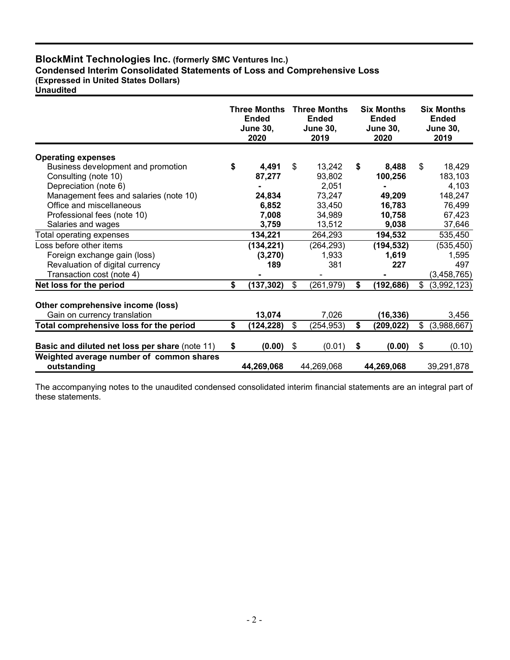#### **BlockMint Technologies Inc. (formerly SMC Ventures Inc.) Condensed Interim Consolidated Statements of Loss and Comprehensive Loss (Expressed in United States Dollars) Unaudited**

|                                                         | <b>Three Months</b><br><b>Ended</b><br><b>June 30,</b><br>2020 | <b>Three Months</b><br><b>Ended</b><br><b>June 30,</b><br>2019 | <b>Six Months</b><br><b>Ended</b><br><b>June 30,</b><br>2020 | <b>Six Months</b><br><b>Ended</b><br><b>June 30,</b><br>2019 |
|---------------------------------------------------------|----------------------------------------------------------------|----------------------------------------------------------------|--------------------------------------------------------------|--------------------------------------------------------------|
|                                                         |                                                                |                                                                |                                                              |                                                              |
| <b>Operating expenses</b>                               |                                                                |                                                                |                                                              |                                                              |
| Business development and promotion                      | \$<br>4,491                                                    | \$<br>13,242                                                   | \$<br>8,488                                                  | \$<br>18,429                                                 |
| Consulting (note 10)                                    | 87,277                                                         | 93,802                                                         | 100,256                                                      | 183,103                                                      |
| Depreciation (note 6)                                   |                                                                | 2,051                                                          |                                                              | 4,103                                                        |
| Management fees and salaries (note 10)                  | 24,834                                                         | 73,247                                                         | 49,209                                                       | 148,247                                                      |
| Office and miscellaneous                                | 6,852                                                          | 33,450                                                         | 16,783                                                       | 76,499                                                       |
| Professional fees (note 10)                             | 7,008                                                          | 34,989                                                         | 10,758                                                       | 67,423                                                       |
| Salaries and wages                                      | 3,759                                                          | 13,512                                                         | 9,038                                                        | 37,646                                                       |
| Total operating expenses                                | 134,221                                                        | 264,293                                                        | 194,532                                                      | 535,450                                                      |
| Loss before other items                                 | (134, 221)                                                     | (264, 293)                                                     | (194, 532)                                                   | (535, 450)                                                   |
| Foreign exchange gain (loss)                            | (3, 270)                                                       | 1,933                                                          | 1,619                                                        | 1,595                                                        |
| Revaluation of digital currency                         | 189                                                            | 381                                                            | 227                                                          | 497                                                          |
| Transaction cost (note 4)                               |                                                                |                                                                |                                                              | (3,458,765)                                                  |
| Net loss for the period                                 | \$<br>(137, 302)                                               | \$<br>(261, 979)                                               | \$<br>(192, 686)                                             | \$<br>(3,992,123)                                            |
| Other comprehensive income (loss)                       |                                                                |                                                                |                                                              |                                                              |
| Gain on currency translation                            | 13,074                                                         | 7,026                                                          | (16, 336)                                                    | 3,456                                                        |
|                                                         |                                                                | \$                                                             | \$                                                           |                                                              |
| Total comprehensive loss for the period                 | \$<br>(124, 228)                                               | (254, 953)                                                     | (209, 022)                                                   | \$<br>(3,988,667)                                            |
| <b>Basic and diluted net loss per share (note 11)</b>   | \$<br>(0.00)                                                   | \$<br>(0.01)                                                   | \$<br>(0.00)                                                 | \$<br>(0.10)                                                 |
| Weighted average number of common shares<br>outstanding | 44,269,068                                                     | 44,269,068                                                     | 44,269,068                                                   | 39,291,878                                                   |

The accompanying notes to the unaudited condensed consolidated interim financial statements are an integral part of these statements.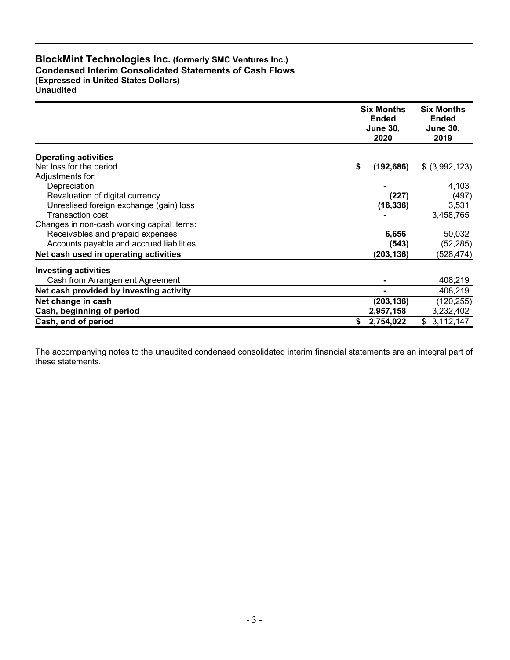#### **BlockMint Technologies Inc. (formerly SMC Ventures Inc.) Condensed Interim Consolidated Statements of Cash Flows (Expressed in United States Dollars) Unaudited**

|                                            | <b>Six Months</b><br><b>Ended</b><br><b>June 30,</b><br>2020 | <b>Six Months</b><br><b>Ended</b><br><b>June 30,</b><br>2019 |
|--------------------------------------------|--------------------------------------------------------------|--------------------------------------------------------------|
| <b>Operating activities</b>                |                                                              |                                                              |
| Net loss for the period                    | \$<br>(192, 686)                                             | \$ (3,992,123)                                               |
| Adjustments for:                           |                                                              |                                                              |
| Depreciation                               |                                                              | 4,103                                                        |
| Revaluation of digital currency            | (227)                                                        | (497)                                                        |
| Unrealised foreign exchange (gain) loss    | (16, 336)                                                    | 3,531                                                        |
| Transaction cost                           |                                                              | 3,458,765                                                    |
| Changes in non-cash working capital items: |                                                              |                                                              |
| Receivables and prepaid expenses           | 6,656                                                        | 50,032                                                       |
| Accounts payable and accrued liabilities   | (543)                                                        | (52,285)                                                     |
| Net cash used in operating activities      | (203, 136)                                                   | (528,474)                                                    |
| <b>Investing activities</b>                |                                                              |                                                              |
| Cash from Arrangement Agreement            |                                                              | 408,219                                                      |
| Net cash provided by investing activity    |                                                              | 408,219                                                      |
| Net change in cash                         | (203, 136)                                                   | (120, 255)                                                   |
| Cash, beginning of period                  | 2,957,158                                                    | 3,232,402                                                    |
| Cash, end of period                        | 2,754,022<br>S.                                              | \$3,112,147                                                  |

The accompanying notes to the unaudited condensed consolidated interim financial statements are an integral part of these statements.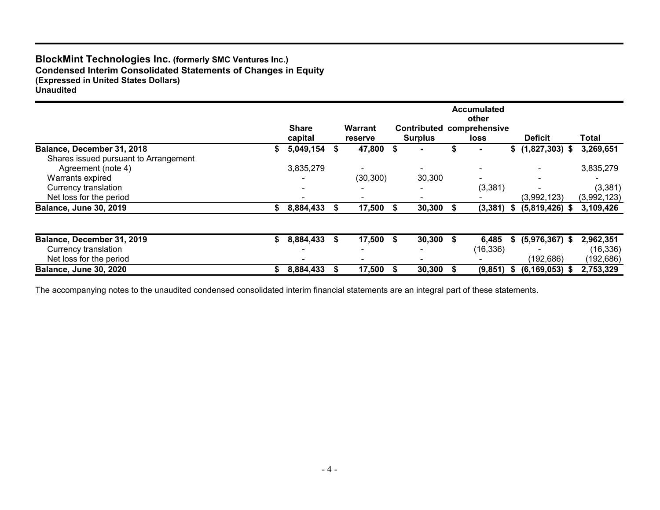#### **BlockMint Technologies Inc. (formerly SMC Ventures Inc.) Condensed Interim Consolidated Statements of Changes in Equity (Expressed in United States Dollars) Unaudited**

|                                       |    | <b>Share</b><br>capital |   | Warrant<br>reserve |      | <b>Contributed</b><br><b>Surplus</b> |    | <b>Accumulated</b><br>other<br>comprehensive<br><b>loss</b> |    | <b>Deficit</b>     | Total       |
|---------------------------------------|----|-------------------------|---|--------------------|------|--------------------------------------|----|-------------------------------------------------------------|----|--------------------|-------------|
| Balance, December 31, 2018            | S. | 5,049,154               | S | 47,800 \$          |      | $\blacksquare$                       |    |                                                             |    | $$(1,827,303)$ \$  | 3,269,651   |
| Shares issued pursuant to Arrangement |    |                         |   |                    |      |                                      |    |                                                             |    |                    |             |
| Agreement (note 4)                    |    | 3,835,279               |   |                    |      | $\overline{\phantom{0}}$             |    |                                                             |    |                    | 3,835,279   |
| Warrants expired                      |    |                         |   | (30, 300)          |      | 30,300                               |    |                                                             |    |                    |             |
| Currency translation                  |    |                         |   |                    |      |                                      |    | (3,381)                                                     |    |                    | (3,381)     |
| Net loss for the period               |    |                         |   |                    |      |                                      |    |                                                             |    | (3,992,123)        | (3,992,123) |
| <b>Balance, June 30, 2019</b>         | S. | 8,884,433               |   | 17,500             |      | 30,300                               | Ъ  | $(3,381)$ \$                                                |    | $(5,819,426)$ \$   | 3,109,426   |
|                                       |    |                         |   |                    |      |                                      |    |                                                             |    |                    |             |
| Balance, December 31, 2019            | \$ | 8,884,433               | S | 17,500             | - \$ | 30,300                               | S. | 6,485                                                       | S. | $(5,976,367)$ \$   | 2,962,351   |
| Currency translation                  |    |                         |   |                    |      |                                      |    | (16, 336)                                                   |    |                    | (16, 336)   |
| Net loss for the period               |    |                         |   |                    |      |                                      |    |                                                             |    | (192, 686)         | (192,686)   |
| <b>Balance, June 30, 2020</b>         |    | 8,884,433               |   | 17,500             |      | 30,300                               |    | (9, 851)                                                    |    | $(6, 169, 053)$ \$ | 2,753,329   |

The accompanying notes to the unaudited condensed consolidated interim financial statements are an integral part of these statements.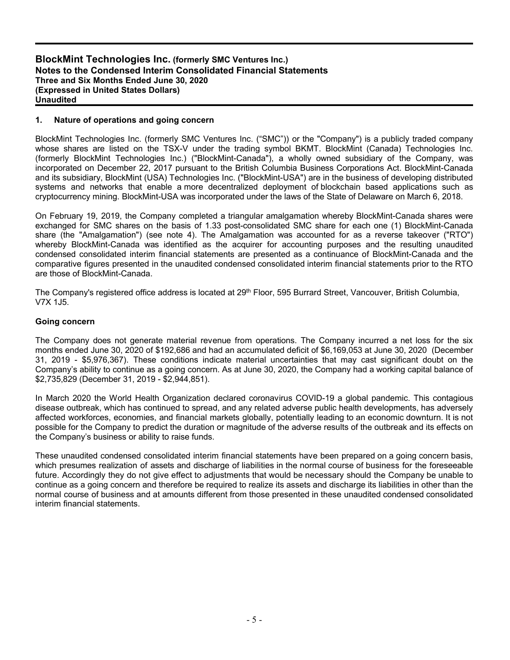#### **1. Nature of operations and going concern**

BlockMint Technologies Inc. (formerly SMC Ventures Inc. ("SMC")) or the "Company") is a publicly traded company whose shares are listed on the TSX-V under the trading symbol BKMT. BlockMint (Canada) Technologies Inc. (formerly BlockMint Technologies Inc.) ("BlockMint-Canada"), a wholly owned subsidiary of the Company, was incorporated on December 22, 2017 pursuant to the British Columbia Business Corporations Act. BlockMint-Canada and its subsidiary, BlockMint (USA) Technologies Inc. ("BlockMint-USA") are in the business of developing distributed systems and networks that enable a more decentralized deployment of blockchain based applications such as cryptocurrency mining. BlockMint-USA was incorporated under the laws of the State of Delaware on March 6, 2018.

On February 19, 2019, the Company completed a triangular amalgamation whereby BlockMint-Canada shares were exchanged for SMC shares on the basis of 1.33 post-consolidated SMC share for each one (1) BlockMint-Canada share (the "Amalgamation") (see note 4). The Amalgamation was accounted for as a reverse takeover ("RTO") whereby BlockMint-Canada was identified as the acquirer for accounting purposes and the resulting unaudited condensed consolidated interim financial statements are presented as a continuance of BlockMint-Canada and the comparative figures presented in the unaudited condensed consolidated interim financial statements prior to the RTO are those of BlockMint-Canada.

The Company's registered office address is located at 29<sup>th</sup> Floor, 595 Burrard Street, Vancouver, British Columbia, V7X 1J5.

#### **Going concern**

The Company does not generate material revenue from operations. The Company incurred a net loss for the six months ended June 30, 2020 of \$192,686 and had an accumulated deficit of \$6,169,053 at June 30, 2020 (December 31, 2019 - \$5,976,367). These conditions indicate material uncertainties that may cast significant doubt on the Company's ability to continue as a going concern. As at June 30, 2020, the Company had a working capital balance of \$2,735,829 (December 31, 2019 - \$2,944,851).

In March 2020 the World Health Organization declared coronavirus COVID-19 a global pandemic. This contagious disease outbreak, which has continued to spread, and any related adverse public health developments, has adversely affected workforces, economies, and financial markets globally, potentially leading to an economic downturn. It is not possible for the Company to predict the duration or magnitude of the adverse results of the outbreak and its effects on the Company's business or ability to raise funds.

These unaudited condensed consolidated interim financial statements have been prepared on a going concern basis, which presumes realization of assets and discharge of liabilities in the normal course of business for the foreseeable future. Accordingly they do not give effect to adjustments that would be necessary should the Company be unable to continue as a going concern and therefore be required to realize its assets and discharge its liabilities in other than the normal course of business and at amounts different from those presented in these unaudited condensed consolidated interim financial statements.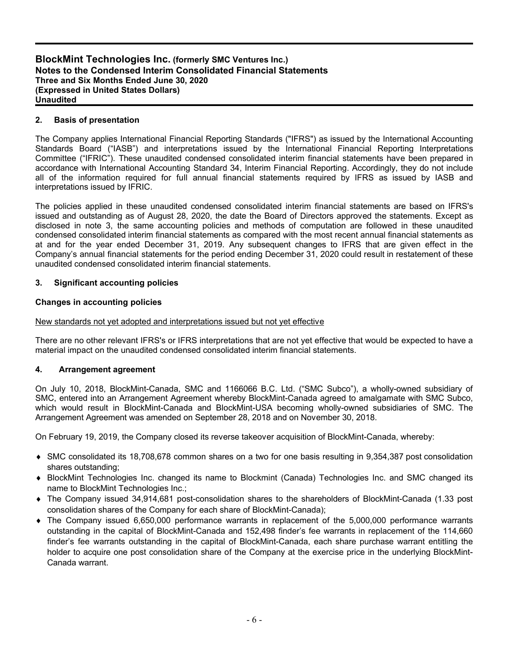#### **2. Basis of presentation**

The Company applies International Financial Reporting Standards ("IFRS") as issued by the International Accounting Standards Board ("IASB") and interpretations issued by the International Financial Reporting Interpretations Committee ("IFRIC"). These unaudited condensed consolidated interim financial statements have been prepared in accordance with International Accounting Standard 34, Interim Financial Reporting. Accordingly, they do not include all of the information required for full annual financial statements required by IFRS as issued by IASB and interpretations issued by IFRIC.

The policies applied in these unaudited condensed consolidated interim financial statements are based on IFRS's issued and outstanding as of August 28, 2020, the date the Board of Directors approved the statements. Except as disclosed in note 3, the same accounting policies and methods of computation are followed in these unaudited condensed consolidated interim financial statements as compared with the most recent annual financial statements as at and for the year ended December 31, 2019. Any subsequent changes to IFRS that are given effect in the Company's annual financial statements for the period ending December 31, 2020 could result in restatement of these unaudited condensed consolidated interim financial statements.

#### **3. Significant accounting policies**

#### **Changes in accounting policies**

#### New standards not yet adopted and interpretations issued but not yet effective

There are no other relevant IFRS's or IFRS interpretations that are not yet effective that would be expected to have a material impact on the unaudited condensed consolidated interim financial statements.

#### **4. Arrangement agreement**

On July 10, 2018, BlockMint-Canada, SMC and 1166066 B.C. Ltd. ("SMC Subco"), a wholly-owned subsidiary of SMC, entered into an Arrangement Agreement whereby BlockMint-Canada agreed to amalgamate with SMC Subco, which would result in BlockMint-Canada and BlockMint-USA becoming wholly-owned subsidiaries of SMC. The Arrangement Agreement was amended on September 28, 2018 and on November 30, 2018.

On February 19, 2019, the Company closed its reverse takeover acquisition of BlockMint-Canada, whereby:

- SMC consolidated its 18,708,678 common shares on a two for one basis resulting in 9,354,387 post consolidation shares outstanding;
- BlockMint Technologies Inc. changed its name to Blockmint (Canada) Technologies Inc. and SMC changed its name to BlockMint Technologies Inc.;
- The Company issued 34,914,681 post-consolidation shares to the shareholders of BlockMint-Canada (1.33 post consolidation shares of the Company for each share of BlockMint-Canada);
- The Company issued 6,650,000 performance warrants in replacement of the 5,000,000 performance warrants outstanding in the capital of BlockMint-Canada and 152,498 finder's fee warrants in replacement of the 114,660 finder's fee warrants outstanding in the capital of BlockMint-Canada, each share purchase warrant entitling the holder to acquire one post consolidation share of the Company at the exercise price in the underlying BlockMint-Canada warrant.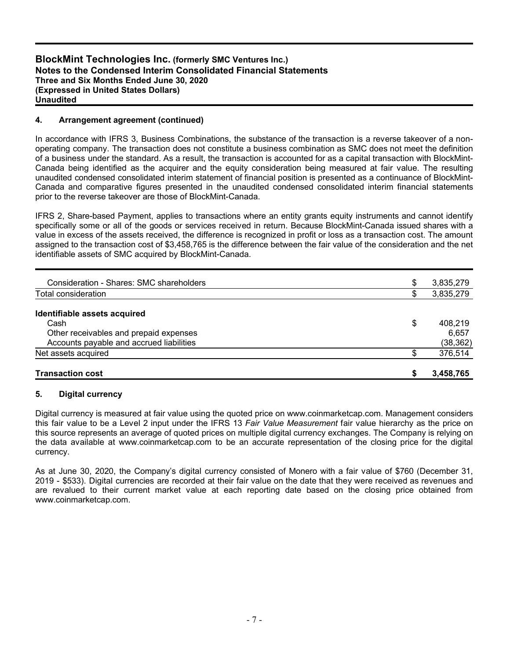#### **4. Arrangement agreement (continued)**

In accordance with IFRS 3, Business Combinations, the substance of the transaction is a reverse takeover of a nonoperating company. The transaction does not constitute a business combination as SMC does not meet the definition of a business under the standard. As a result, the transaction is accounted for as a capital transaction with BlockMint-Canada being identified as the acquirer and the equity consideration being measured at fair value. The resulting unaudited condensed consolidated interim statement of financial position is presented as a continuance of BlockMint-Canada and comparative figures presented in the unaudited condensed consolidated interim financial statements prior to the reverse takeover are those of BlockMint-Canada.

IFRS 2, Share-based Payment, applies to transactions where an entity grants equity instruments and cannot identify specifically some or all of the goods or services received in return. Because BlockMint-Canada issued shares with a value in excess of the assets received, the difference is recognized in profit or loss as a transaction cost. The amount assigned to the transaction cost of \$3,458,765 is the difference between the fair value of the consideration and the net identifiable assets of SMC acquired by BlockMint-Canada.

| Consideration - Shares: SMC shareholders<br>\$<br>Total consideration<br>S<br>Identifiable assets acquired<br>\$<br>Cash<br>Other receivables and prepaid expenses<br>Accounts payable and accrued liabilities<br>Net assets acquired<br>S | 3,458,765 |
|--------------------------------------------------------------------------------------------------------------------------------------------------------------------------------------------------------------------------------------------|-----------|
|                                                                                                                                                                                                                                            | 376,514   |
|                                                                                                                                                                                                                                            | (38, 362) |
|                                                                                                                                                                                                                                            | 6,657     |
|                                                                                                                                                                                                                                            | 408.219   |
|                                                                                                                                                                                                                                            |           |
|                                                                                                                                                                                                                                            | 3,835,279 |
|                                                                                                                                                                                                                                            | 3,835,279 |

#### **5. Digital currency**

Digital currency is measured at fair value using the quoted price on www.coinmarketcap.com. Management considers this fair value to be a Level 2 input under the IFRS 13 *Fair Value Measurement* fair value hierarchy as the price on this source represents an average of quoted prices on multiple digital currency exchanges. The Company is relying on the data available at www.coinmarketcap.com to be an accurate representation of the closing price for the digital currency.

As at June 30, 2020, the Company's digital currency consisted of Monero with a fair value of \$760 (December 31, 2019 - \$533). Digital currencies are recorded at their fair value on the date that they were received as revenues and are revalued to their current market value at each reporting date based on the closing price obtained from www.coinmarketcap.com.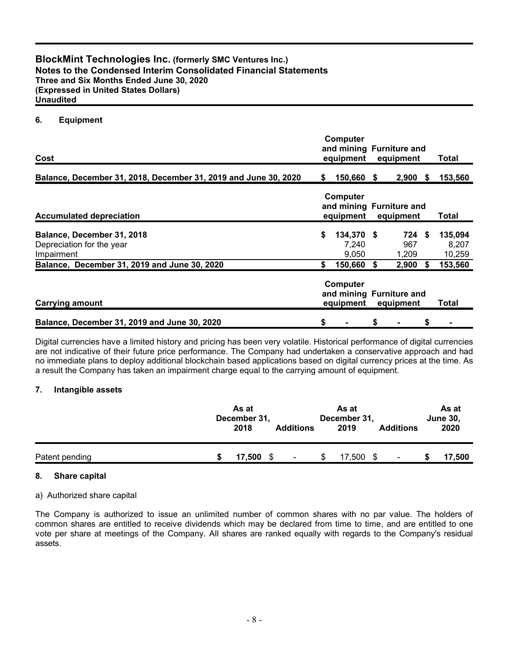#### **6. Equipment**

| Cost                                                                  |                                                                | <b>Computer</b><br>and mining Furniture and<br>equipment |    | equipment              |       | Total                      |
|-----------------------------------------------------------------------|----------------------------------------------------------------|----------------------------------------------------------|----|------------------------|-------|----------------------------|
| Balance, December 31, 2018, December 31, 2019 and June 30, 2020       | S                                                              | 150,660                                                  | \$ | $2,900$ \$             |       | 153,560                    |
| <b>Accumulated depreciation</b>                                       | Computer<br>and mining Furniture and<br>equipment<br>equipment |                                                          |    |                        | Total |                            |
| Balance, December 31, 2018<br>Depreciation for the year<br>Impairment | \$                                                             | 134,370 \$<br>7,240<br>9.050                             |    | 724 \$<br>967<br>1,209 |       | 135,094<br>8,207<br>10,259 |
| Balance, December 31, 2019 and June 30, 2020                          | \$                                                             | 150,660                                                  | S  | 2,900                  | S     | 153,560                    |
| <b>Carrying amount</b>                                                |                                                                | Computer<br>and mining Furniture and<br>equipment        |    | equipment              |       | Total                      |
| Balance, December 31, 2019 and June 30, 2020                          | \$                                                             |                                                          | \$ |                        | \$    |                            |

Digital currencies have a limited history and pricing has been very volatile. Historical performance of digital currencies are not indicative of their future price performance. The Company had undertaken a conservative approach and had no immediate plans to deploy additional blockchain based applications based on digital currency prices at the time. As a result the Company has taken an impairment charge equal to the carrying amount of equipment.

#### **7. Intangible assets**

|                | As at<br>December 31,<br>2018 | <b>Additions</b> | As at<br>December 31,<br>2019 | <b>Additions</b> | As at<br><b>June 30,</b><br>2020 |
|----------------|-------------------------------|------------------|-------------------------------|------------------|----------------------------------|
| Patent pending | $17,500$ \$                   | $\blacksquare$   | 17,500 \$                     | ٠                | 17,500                           |

#### **8. Share capital**

#### a) Authorized share capital

The Company is authorized to issue an unlimited number of common shares with no par value. The holders of common shares are entitled to receive dividends which may be declared from time to time, and are entitled to one vote per share at meetings of the Company. All shares are ranked equally with regards to the Company's residual assets.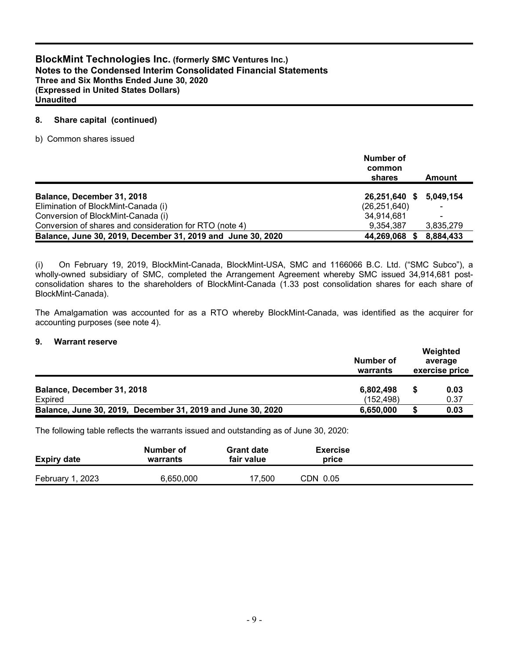#### **8. Share capital (continued)**

#### b) Common shares issued

|                                                             | Number of<br>common<br>shares | Amount    |
|-------------------------------------------------------------|-------------------------------|-----------|
| Balance, December 31, 2018                                  | 26,251,640 \$                 | 5,049,154 |
| Elimination of BlockMint-Canada (i)                         | (26, 251, 640)                |           |
| Conversion of BlockMint-Canada (i)                          | 34,914,681                    | -         |
| Conversion of shares and consideration for RTO (note 4)     | 9,354,387                     | 3,835,279 |
| Balance, June 30, 2019, December 31, 2019 and June 30, 2020 | 44,269,068                    | 8,884,433 |

(i) On February 19, 2019, BlockMint-Canada, BlockMint-USA, SMC and 1166066 B.C. Ltd. ("SMC Subco"), a wholly-owned subsidiary of SMC, completed the Arrangement Agreement whereby SMC issued 34,914,681 postconsolidation shares to the shareholders of BlockMint-Canada (1.33 post consolidation shares for each share of BlockMint-Canada).

The Amalgamation was accounted for as a RTO whereby BlockMint-Canada, was identified as the acquirer for accounting purposes (see note 4).

#### **9. Warrant reserve**

|                                                             | Number of<br>warrants  | Weighted<br>average<br>exercise price |
|-------------------------------------------------------------|------------------------|---------------------------------------|
| Balance, December 31, 2018<br>Expired                       | 6,802,498<br>(152,498) | 0.03<br>0.37                          |
| Balance, June 30, 2019, December 31, 2019 and June 30, 2020 | 6,650,000              | 0.03                                  |

The following table reflects the warrants issued and outstanding as of June 30, 2020:

| <b>Expiry date</b> | Number of | <b>Grant date</b> | <b>Exercise</b> |
|--------------------|-----------|-------------------|-----------------|
|                    | warrants  | fair value        | price           |
| February 1, 2023   | 6,650,000 | 17.500            | CDN 0.05        |